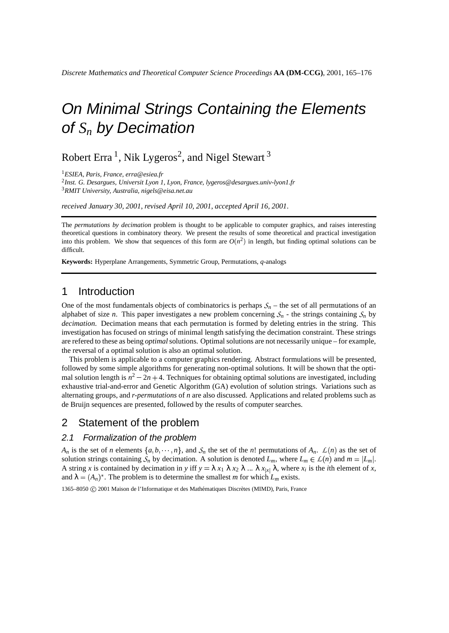# On Minimal Strings Containing the Elements of *S<sup>n</sup>* by Decimation

Robert Erra <sup>1</sup>, Nik Lygeros<sup>2</sup>, and Nigel Stewart <sup>3</sup>

<sup>1</sup>*ESIEA, Paris, France, erra@esiea.fr*

2 *Inst. G. Desargues, Universit Lyon 1, Lyon, France, lygeros@desargues.univ-lyon1.fr* <sup>3</sup>*RMIT University, Australia, nigels@eisa.net.au*

*received January 30, 2001*, *revised April 10, 2001*, *accepted April 16, 2001*.

The *permutations by decimation* problem is thought to be applicable to computer graphics, and raises interesting theoretical questions in combinatory theory. We present the results of some theoretical and practical investigation into this problem. We show that sequences of this form are  $O(n^2)$  in length, but finding optimal solutions can be difficult.

**Keywords:** Hyperplane Arrangements, Symmetric Group, Permutations, *q*-analogs

#### 1 Introduction

One of the most fundamentals objects of combinatorics is perhaps  $S_n$  – the set of all permutations of an alphabet of size *n*. This paper investigates a new problem concerning  $S_n$  - the strings containing  $S_n$  by *decimation*. Decimation means that each permutation is formed by deleting entries in the string. This investigation has focused on strings of minimal length satisfying the decimation constraint. These strings are refered to these as being *optimal*solutions. Optimal solutions are not necessarily unique – for example, the reversal of a optimal solution is also an optimal solution.

This problem is applicable to a computer graphics rendering. Abstract formulations will be presented, followed by some simple algorithms for generating non-optimal solutions. It will be shown that the optimal solution length is  $n^2 - 2n + 4$ . Techniques for obtaining optimal solutions are investigated, including exhaustive trial-and-error and Genetic Algorithm (GA) evolution of solution strings. Variations such as alternating groups, and *r-permutations* of *n* are also discussed. Applications and related problems such as de Bruijn sequences are presented, followed by the results of computer searches.

#### 2 Statement of the problem

#### 2.1 Formalization of the problem

*A<sub>n</sub>* is the set of *n* elements  $\{a, b, \dots, n\}$ , and  $S_n$  the set of the *n*! permutations of  $A_n$ .  $\mathcal{L}(n)$  as the set of solution strings containing  $S_n$  by decimation. A solution is denoted  $L_m$ , where  $L_m \in L(n)$  and  $m = |L_m|$ . A string *x* is contained by decimation in *y* iff  $y = \lambda x_1 \lambda x_2 \lambda ... \lambda x_{|x|} \lambda$ , where  $x_i$  is the *i*th element of *x*, and  $\lambda = (A_n)^*$ . The problem is to determine the smallest *m* for which  $L_m$  exists.

1365–8050 C 2001 Maison de l'Informatique et des Mathématiques Discrètes (MIMD), Paris, France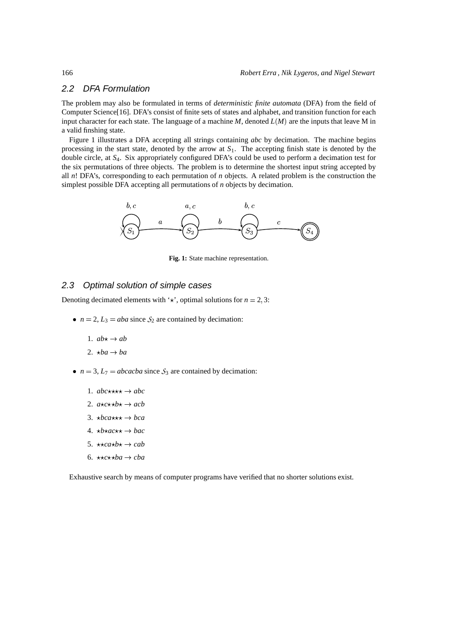#### 2.2 DFA Formulation

The problem may also be formulated in terms of *deterministic finite automata* (DFA) from the field of Computer Science[16]. DFA's consist of finite sets of states and alphabet, and transition function for each input character for each state. The language of a machine  $M$ , denoted  $L(M)$  are the inputs that leave M in a valid finshing state.

Figure 1 illustrates a DFA accepting all strings containing *abc* by decimation. The machine begins processing in the start state, denoted by the arrow at *S*1. The accepting finish state is denoted by the double circle, at *S*4. Six appropriately configured DFA's could be used to perform a decimation test for the six permutations of three objects. The problem is to determine the shortest input string accepted by all *n*! DFA's, corresponding to each permutation of *n* objects. A related problem is the construction the simplest possible DFA accepting all permutations of *n* objects by decimation.



**Fig. 1:** State machine representation.

#### 2.3 Optimal solution of simple cases

Denoting decimated elements with  $\star$ , optimal solutions for  $n = 2, 3$ :

- $n = 2$ ,  $L_3 = aba$  since  $S_2$  are contained by decimation:
	- 1.  $ab \star \rightarrow ab$
	- 2.  $\star ba \rightarrow ba$
- $n = 3$ ,  $L_7 = abcacba$  since  $S_3$  are contained by decimation:
	- 1.  $abc \star \star \star \star \to abc$
	- 2.  $a \star c \star b \star \to acb$
	- 3.  $\star$ *bca* $\star$  $\star$  $\star$  $\to$ *bca*
	- 4.  $\star b \star ac \star \star \to bac$
	- 5.  $\star \star \text{c}_a \star b \star \to \text{c}_a b$
	- 6.  $\star \star c \star \star ba \rightarrow cba$

Exhaustive search by means of computer programs have verified that no shorter solutions exist.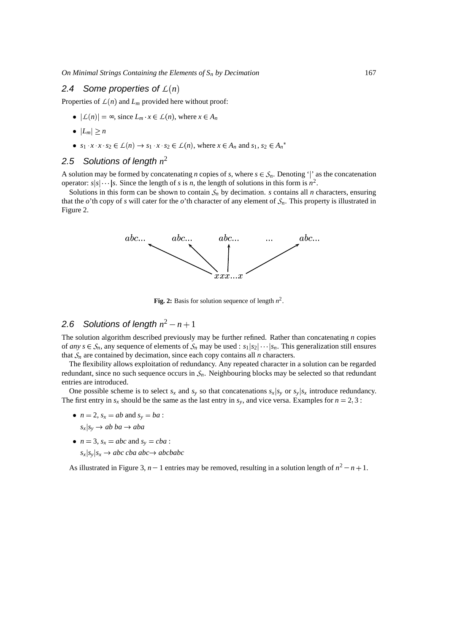#### 2.4 Some properties of  $L(n)$

Properties of  $L(n)$  and  $L_m$  provided here without proof:

- $|L(n)| = \infty$ , since  $L_m \cdot x \in L(n)$ , where  $x \in A_n$
- $|L_m| \geq n$
- $s_1 \cdot x \cdot x \cdot s_2 \in L(n) \rightarrow s_1 \cdot x \cdot s_2 \in L(n)$ , where  $x \in A_n$  and  $s_1, s_2 \in A_n^*$

### 2.5 Solutions of length  $n^2$

A solution may be formed by concatenating *n* copies of *s*, where  $s \in S_n$ . Denoting '' as the concatenation operator:  $s | s | \cdots | s$ . Since the length of *s* is *n*, the length of solutions in this form is  $n^2$ .

Solutions in this form can be shown to contain  $S_n$  by decimation. *s* contains all *n* characters, ensuring that the  $o'$ th copy of  $s$  will cater for the  $o'$ th character of any element of  $S_n$ . This property is illustrated in Figure 2.



**Fig. 2:** Basis for solution sequence of length  $n^2$ .

### 2.6 Solutions of length  $n^2 - n + 1$

The solution algorithm described previously may be further refined. Rather than concatenating *n* copies of *any*  $s \in S_n$ , any sequence of elements of  $S_n$  may be used :  $s_1 | s_2 | \cdots | s_n$ . This generalization still ensures that  $S_n$  are contained by decimation, since each copy contains all *n* characters.

The flexibility allows exploitation of redundancy. Any repeated character in a solution can be regarded redundant, since no such sequence occurs in  $S<sub>n</sub>$ . Neighbouring blocks may be selected so that redundant entries are introduced.

One possible scheme is to select  $s_x$  and  $s_y$  so that concatenations  $s_x | s_y$  or  $s_y | s_x$  introduce redundancy. The first entry in  $s_x$  should be the same as the last entry in  $s_y$ , and vice versa. Examples for  $n = 2, 3$ :

- $n = 2$ ,  $s_x = ab$  and  $s_y = ba$ :  $s_x | s_y \rightarrow ab \, ba \rightarrow aba$
- $n = 3$ ,  $s_x = abc$  and  $s_y = cba$  :

 $s_x | s_y | s_x \rightarrow abc \; cba \; abc \rightarrow abc \; babc$ 

As illustrated in Figure 3,  $n-1$  entries may be removed, resulting in a solution length of  $n^2 - n + 1$ .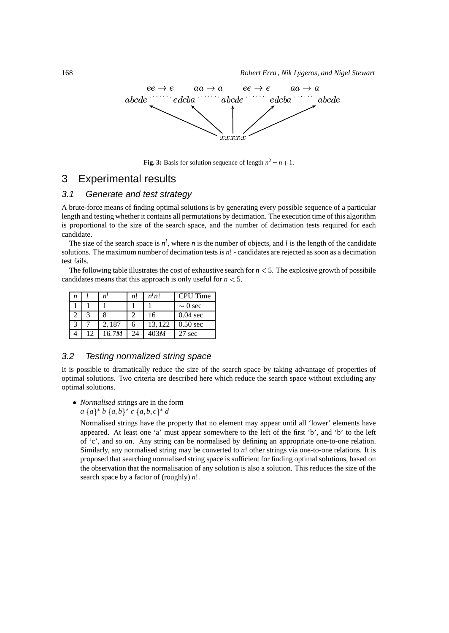

**Fig.** 3: Basis for solution sequence of length  $n^2 - n + 1$ .

## 3 Experimental results

#### 3.1 Generate and test strategy

A brute-force means of finding optimal solutions is by generating every possible sequence of a particular length and testing whether it contains all permutations by decimation. The execution time of this algorithm is proportional to the size of the search space, and the number of decimation tests required for each candidate.

The size of the search space is  $n^l$ , where *n* is the number of objects, and *l* is the length of the candidate solutions. The maximum number of decimation tests is *n*! - candidates are rejected as soon as a decimation test fails.

The following table illustrates the cost of exhaustive search for  $n < 5$ . The explosive growth of possibile candidates means that this approach is only useful for  $n < 5$ .

| n |       | n! | n <sup>t</sup> n! | <b>CPU</b> Time |
|---|-------|----|-------------------|-----------------|
|   |       |    |                   | $\sim 0$ sec    |
|   |       |    | 16                | $0.04$ sec      |
|   | 2,187 |    | 13,122            | $0.50$ sec      |
|   | 16.7M |    | 403 <i>M</i>      | 27 sec          |

#### 3.2 Testing normalized string space

It is possible to dramatically reduce the size of the search space by taking advantage of properties of optimal solutions. Two criteria are described here which reduce the search space without excluding any optimal solutions.

 *Normalised* strings are in the form  $a \{a\}^* b \{a,b\}^* c \{a,b,c\}^* d \cdots$ 

Normalised strings have the property that no element may appear until all 'lower' elements have appeared. At least one 'a' must appear somewhere to the left of the first 'b', and 'b' to the left of 'c', and so on. Any string can be normalised by defining an appropriate one-to-one relation. Similarly, any normalised string may be converted to *n*! other strings via one-to-one relations. It is proposed that searching normalised string space is sufficient for finding optimal solutions, based on the observation that the normalisation of any solution is also a solution. This reduces the size of the search space by a factor of (roughly) *n*!.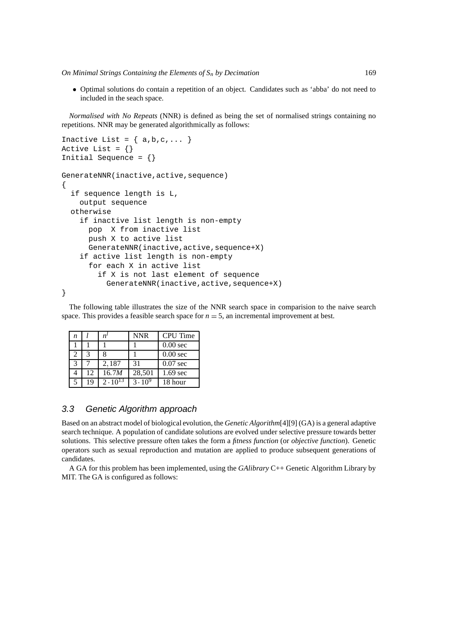*On Minimal Strings Containing the Elements of S<sup>n</sup> by Decimation* 169

 Optimal solutions do contain a repetition of an object. Candidates such as 'abba' do not need to included in the seach space.

*Normalised with No Repeats* (NNR) is defined as being the set of normalised strings containing no repetitions. NNR may be generated algorithmically as follows:

```
Inactive List = \{ a,b,c,... \}Active List = \{\}Initial Sequence = {}
GenerateNNR(inactive,active,sequence)
{
  if sequence length is L,
    output sequence
  otherwise
    if inactive list length is non-empty
      pop X from inactive list
      push X to active list
      GenerateNNR(inactive,active,sequence+X)
    if active list length is non-empty
      for each X in active list
        if X is not last element of sequence
          GenerateNNR(inactive,active,sequence+X)
}
```
The following table illustrates the size of the NNR search space in comparision to the naive search space. This provides a feasible search space for  $n = 5$ , an incremental improvement at best.

| n             |    |             | <b>NNR</b> | <b>CPU</b> Time     |
|---------------|----|-------------|------------|---------------------|
|               |    |             |            | 0.00 <sub>sec</sub> |
|               | 3  |             |            | 0.00 <sub>sec</sub> |
| $\mathcal{R}$ |    | 2,187       | 31         | $0.07$ sec          |
|               | 12 | 16.7M       | 28,501     | $1.69$ sec          |
| 5             | 19 | $2.10^{13}$ | $3.10^{9}$ | 18 hour             |

#### 3.3 Genetic Algorithm approach

Based on an abstract model of biological evolution, the *Genetic Algorithm*[4][9] (GA) is a general adaptive search technique. A population of candidate solutions are evolved under selective pressure towards better solutions. This selective pressure often takes the form a *fitness function* (or *objective function*). Genetic operators such as sexual reproduction and mutation are applied to produce subsequent generations of candidates.

A GA for this problem has been implemented, using the *GAlibrary* C++ Genetic Algorithm Library by MIT. The GA is configured as follows: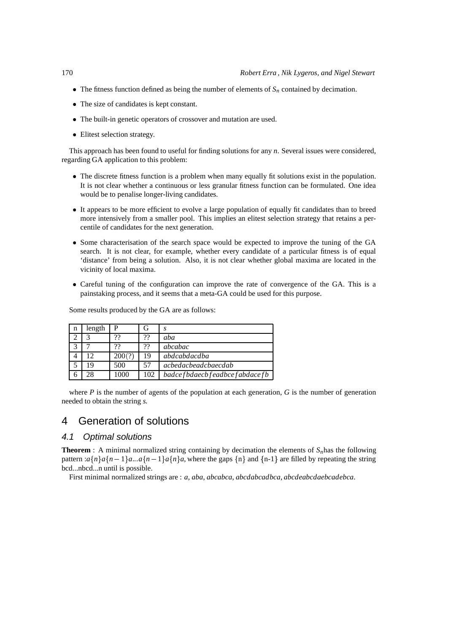- The fitness function defined as being the number of elements of  $S_n$  contained by decimation.
- The size of candidates is kept constant.
- The built-in genetic operators of crossover and mutation are used.
- Elitest selection strategy.

This approach has been found to useful for finding solutions for any *n*. Several issues were considered, regarding GA application to this problem:

- The discrete fitness function is a problem when many equally fit solutions exist in the population. It is not clear whether a continuous or less granular fitness function can be formulated. One idea would be to penalise longer-living candidates.
- It appears to be more efficient to evolve a large population of equally fit candidates than to breed more intensively from a smaller pool. This implies an elitest selection strategy that retains a percentile of candidates for the next generation.
- Some characterisation of the search space would be expected to improve the tuning of the GA search. It is not clear, for example, whether every candidate of a particular fitness is of equal 'distance' from being a solution. Also, it is not clear whether global maxima are located in the vicinity of local maxima.
- Careful tuning of the configuration can improve the rate of convergence of the GA. This is a painstaking process, and it seems that a meta-GA could be used for this purpose.

| n | length |       | G   | S                            |
|---|--------|-------|-----|------------------------------|
|   |        | 99    | 99  | aba                          |
|   |        | 99    | 22  | abcabac                      |
|   | 12     | 200(? | 19  | abdcabdacdba                 |
|   | 19     | 500   | 57  | achedacheadchaecdah          |
|   |        | 1000  | 102 | badcefbdaecbfeadbcefabdacefb |

Some results produced by the GA are as follows:

where  $P$  is the number of agents of the population at each generation,  $G$  is the number of generation needed to obtain the string *s*

## 4 Generation of solutions

#### 4.1 Optimal solutions

**Theorem** : A minimal normalized string containing by decimation the elements of  $S<sub>n</sub>$  has the following pattern : $a\{n\}a\{n-1\}a...a\{n-1\}a\{n\}a$ , where the gaps  $\{n\}$  and  $\{n-1\}$  are filled by repeating the string bcd...nbcd...n until is possible.

First minimal normalized strings are : *a*, *aba*, *abcabca*, *abcdabcadbca*, *abcdeabcdaebcadebca*.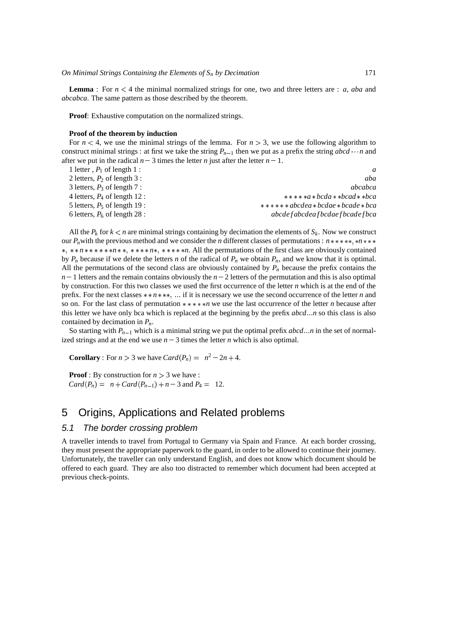**Lemma** : For  $n < 4$  the minimal normalized strings for one, two and three letters are : *a*, *aba* and *abcabca*. The same pattern as those described by the theorem.

**Proof**: Exhaustive computation on the normalized strings.

#### **Proof of the theorem by induction**

For  $n < 4$ , we use the minimal strings of the lemma. For  $n > 3$ , we use the following algorithm to construct minimal strings : at first we take the string  $P_{n-1}$  then we put as a prefix the string  $abcd \cdots n$  and after we put in the radical  $n-3$  times the letter *n* just after the letter  $n-1$ .

| 1 letter, $P_1$ of length 1 :   |                                          |
|---------------------------------|------------------------------------------|
| 2 letters, $P_2$ of length 3 :  | aba                                      |
| 3 letters, $P_3$ of length 7 :  | <i>abcabca</i>                           |
| 4 letters, $P_4$ of length 12 : | $****a*bcda**bcad**bca$                  |
| 5 letters, $P_5$ of length 19 : | $***$ * * * abcdea * bcdae * bcade * bca |
| 6 letters, $P_6$ of length 28 : | abcde f abcdea f bcdae f bcade f bca     |

All the  $P_k$  for  $k < n$  are minimal strings containing by decimation the elements of  $S_k$ . Now we construct our  $P_n$  with the previous method and we consider the *n* different classes of permutations :  $n$  \* \* \* \* \* \* \* \* \* \*, \*\*n\*\*\*\*\*\*\*n\*\*, \*\*\*\*n\*, \*\*\*\*\*n. All the permutations of the first class are obviously contained by  $P_n$  because if we delete the letters *n* of the radical of  $P_n$  we obtain  $P_n$ , and we know that it is optimal. All the permutations of the second class are obviously contained by  $P<sub>n</sub>$  because the prefix contains the  $n-1$  letters and the remain contains obviously the  $n-2$  letters of the permutation and this is also optimal by construction. For this two classes we used the first occurrence of the letter *n* which is at the end of the prefix. For the next classes  $**n***$ , ... if it is necessary we use the second occurrence of the letter *n* and so on. For the last class of permutation  $****n$  we use the last occurrence of the letter *n* because after this letter we have only bca which is replaced at the beginning by the prefix *abcd* ... *n* so this class is also contained by decimation in *Pn*.

So starting with  $P_{n-1}$  which is a minimal string we put the optimal prefix *abcd* ... *n* in the set of normalized strings and at the end we use  $n - 3$  times the letter *n* which is also optimal.

**Corollary**: For  $n > 3$  we have  $Card(P_n) = n^2 - 2n + 4$ .

**Proof** : By construction for  $n > 3$  we have :  $Card(P_n) = n + Card(P_{n-1}) + n - 3$  and  $P_4 = 12$ .

## 5 Origins, Applications and Related problems

#### 5.1 The border crossing problem

A traveller intends to travel from Portugal to Germany via Spain and France. At each border crossing, they must present the appropriate paperwork to the guard, in order to be allowed to continue their journey. Unfortunately, the traveller can only understand English, and does not know which document should be offered to each guard. They are also too distracted to remember which document had been accepted at previous check-points.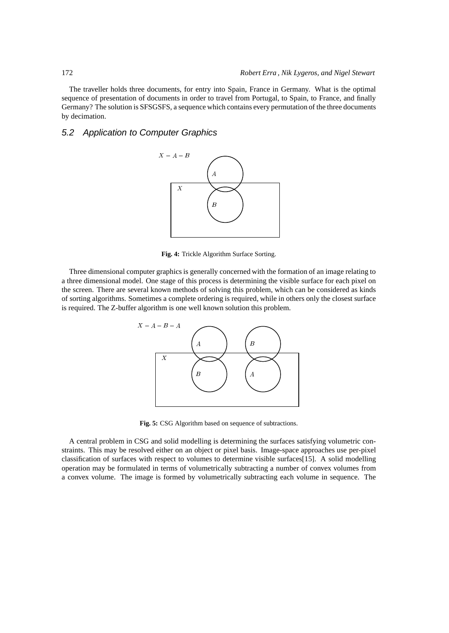The traveller holds three documents, for entry into Spain, France in Germany. What is the optimal sequence of presentation of documents in order to travel from Portugal, to Spain, to France, and finally Germany? The solution is SFSGSFS, a sequence which contains every permutation of the three documents by decimation.

#### 5.2 Application to Computer Graphics



**Fig. 4:** Trickle Algorithm Surface Sorting.

Three dimensional computer graphics is generally concerned with the formation of an image relating to a three dimensional model. One stage of this process is determining the visible surface for each pixel on the screen. There are several known methods of solving this problem, which can be considered as kinds of sorting algorithms. Sometimes a complete ordering is required, while in others only the closest surface is required. The Z-buffer algorithm is one well known solution this problem.



**Fig. 5:** CSG Algorithm based on sequence of subtractions.

A central problem in CSG and solid modelling is determining the surfaces satisfying volumetric constraints. This may be resolved either on an object or pixel basis. Image-space approaches use per-pixel classification of surfaces with respect to volumes to determine visible surfaces[15]. A solid modelling operation may be formulated in terms of volumetrically subtracting a number of convex volumes from a convex volume. The image is formed by volumetrically subtracting each volume in sequence. The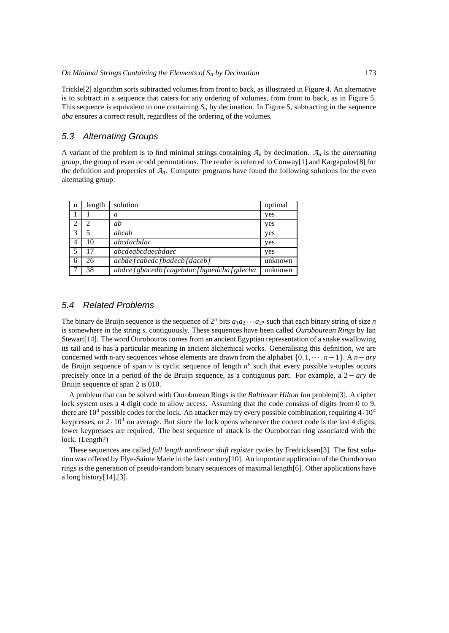Trickle[2] algorithm sorts subtracted volumes from front to back, as illustrated in Figure 4. An alternative is to subtract in a sequence that caters for any ordering of volumes, from front to back, as in Figure 5. This sequence is equivalent to one containing  $S_n$  by decimation. In Figure 5, subtracting in the sequence *aba* ensures a correct result, regardless of the ordering of the volumes.

#### 5.3 Alternating Groups

A variant of the problem is to find minimal strings containing *A<sup>n</sup>* by decimation. *A<sup>n</sup>* is the *alternating group*, the group of even or odd permutations. The reader is referred to Conway[1] and Kargapolov[8] for the definition and properties of  $A<sub>n</sub>$ . Computer programs have found the following solutions for the even alternating group:

| n | length | solution                               | optimal |
|---|--------|----------------------------------------|---------|
|   |        | a                                      | yes     |
|   | ာ      | ab                                     | yes     |
|   | 5      | abcab                                  | yes     |
| 4 | 10     | abcdacbdac                             | yes     |
| 5 | 17     | abcdeabcdaecbdaec                      | yes     |
| 6 | 26     | acbde f cabedc f badecb f daceb f      | unknown |
|   | 38     | abdcefgbacedbfcagebdacfbgaedcbafgdecba | unknown |

#### 5.4 Related Problems

The binary de Bruijn sequence is the sequence of  $2^n$  bits  $a_1a_2 \cdots a_{2^n}$  such that each binary string of size *n* is somewhere in the string *s*, contiguously. These sequences have been called *Ourobourean Rings* by Ian Stewart[14]. The word Ourobouros comes from an ancient Egyptian representation of a snake swallowing its tail and is has a particular meaning in ancient alchemical works. Generalising this definition, we are concerned with n-ary sequences whose elements are drawn from the alphabet  $\{0, 1, \dots, n-1\}$ . A  $n - ary$ de Bruijn sequence of span  $v$  is cyclic sequence of length  $n<sup>v</sup>$  such that every possible  $v$ -tuples occurs precisely once in a period of the de Bruijn sequence, as a contiguous part. For example, a  $2 - ary$  de Bruijn sequence of span 2 is 010.

A problem that can be solved with Ouroborean Rings is the *Baltimore Hilton Inn* problem[3]. A cipher lock system uses a 4 digit code to allow access. Assuming that the code consists of digits from 0 to 9, there are  $10^4$  possible codes for the lock. An attacker may try every possible combination, requiring  $4 \cdot 10^4$ keypresses, or  $2 \cdot 10^4$  on average. But since the lock opens whenever the correct code is the last 4 digits, fewer keypresses are required. The best sequence of attack is the Ouroborean ring associated with the lock. (Length?)

These sequences are called *full length nonlinear shift register cycles* by Fredricksen[3]. The first solution was offered by Flye-Sainte Marie in the last century[10]. An important application of the Ouroborean rings is the generation of pseudo-random binary sequences of maximal length[6]. Other applications have a long history[14],[3].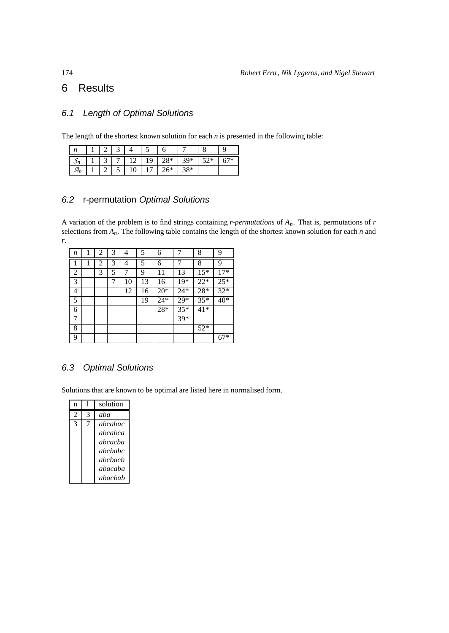## 6 Results

## 6.1 Length of Optimal Solutions

The length of the shortest known solution for each  $n$  is presented in the following table:

| $\mathbf{v}$                |  |    |    |       |       |     |   |
|-----------------------------|--|----|----|-------|-------|-----|---|
| $\mathcal{L}_{\mathcal{L}}$ |  |    | 19 | $28*$ | $39*$ | 5つ* | ິ |
|                             |  | ΙV |    | $26*$ | $38*$ |     |   |

## 6.2 r-permutation Optimal Solutions

A variation of the problem is to find strings containing *r-permutations* of *An*. That is, permutations of *r* selections from *An*. The following table contains the length of the shortest known solution for each *n* and *r*.

| n |   | 2 | 3 | 4  | 5  | 6     | 7     | 8     | 9     |
|---|---|---|---|----|----|-------|-------|-------|-------|
|   | 1 | 2 | 3 | 4  | 5  | 6     | 7     | 8     | 9     |
| 2 |   | 3 | 5 | 7  | 9  | 11    | 13    | $15*$ | $17*$ |
| 3 |   |   |   | 10 | 13 | 16    | 19*   | $22*$ | $25*$ |
| 4 |   |   |   | 12 | 16 | $20*$ | $24*$ | $28*$ | $32*$ |
| 5 |   |   |   |    | 19 | $24*$ | $29*$ | $35*$ | 40*   |
| 6 |   |   |   |    |    | 28*   | $35*$ | $41*$ |       |
| 7 |   |   |   |    |    |       | 39*   |       |       |
| 8 |   |   |   |    |    |       |       | $52*$ |       |
| 9 |   |   |   |    |    |       |       |       | $67*$ |

## 6.3 Optimal Solutions

Solutions that are known to be optimal are listed here in normalised form.

| n              |   | solution |
|----------------|---|----------|
| $\mathfrak{D}$ | 3 | aha      |
| 3              |   | abcabac  |
|                |   | ahcabca  |
|                |   | abcacba  |
|                |   | ahchahc  |
|                |   | ahchach  |
|                |   | abacaba  |
|                |   | abacbab  |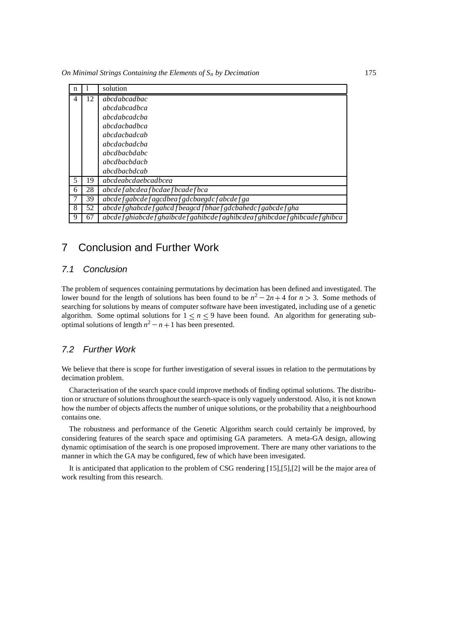*On Minimal Strings Containing the Elements of S<sup>n</sup> by Decimation* 175

| n |    | solution                                                                          |
|---|----|-----------------------------------------------------------------------------------|
| 4 | 12 | <i>abcdabcadbac</i>                                                               |
|   |    | <i>abcdabcadbca</i>                                                               |
|   |    | <i>abcdabcadcba</i>                                                               |
|   |    | <i>abcdachadhca</i>                                                               |
|   |    | <i>abcdachadcab</i>                                                               |
|   |    | <i>abcdacbadcba</i>                                                               |
|   |    | <i>abcdbacbdabc</i>                                                               |
|   |    | <i>abcdbacbdacb</i>                                                               |
|   |    | <i>abcdbacbdcab</i>                                                               |
| 5 | 19 | abcdeabcdaebcadbcea                                                               |
| 6 | 28 | abcde f abcdea f bcdae f bcade f bca                                              |
|   | 39 | abcdef gabcdef agcdbeaf gdcbaegdcf abcdef ga                                      |
| 8 | 52 | abcdef ghabcdef gahcd f beagcd f bhaef gdcbahedc f gabcdef gha                    |
| 9 | 67 | abcde f ghiabcde f ghaibcde f gahibcde f aghibcdea f ghibcdae f ghibcade f ghibca |

## 7 Conclusion and Further Work

#### 7.1 Conclusion

The problem of sequences containing permutations by decimation has been defined and investigated. The lower bound for the length of solutions has been found to be  $n^2 - 2n + 4$  for  $n > 3$ . Some methods of searching for solutions by means of computer software have been investigated, including use of a genetic algorithm. Some optimal solutions for  $1 \le n \le 9$  have been found. An algorithm for generating suboptimal solutions of length  $n^2 - n + 1$  has been presented.

#### 7.2 Further Work

We believe that there is scope for further investigation of several issues in relation to the permutations by decimation problem.

Characterisation of the search space could improve methods of finding optimal solutions. The distribution or structure of solutions throughout the search-space is only vaguely understood. Also, it is not known how the number of objects affects the number of unique solutions, or the probability that a neighbourhood contains one.

The robustness and performance of the Genetic Algorithm search could certainly be improved, by considering features of the search space and optimising GA parameters. A meta-GA design, allowing dynamic optimisation of the search is one proposed improvement. There are many other variations to the manner in which the GA may be configured, few of which have been invesigated.

It is anticipated that application to the problem of CSG rendering [15],[5],[2] will be the major area of work resulting from this research.